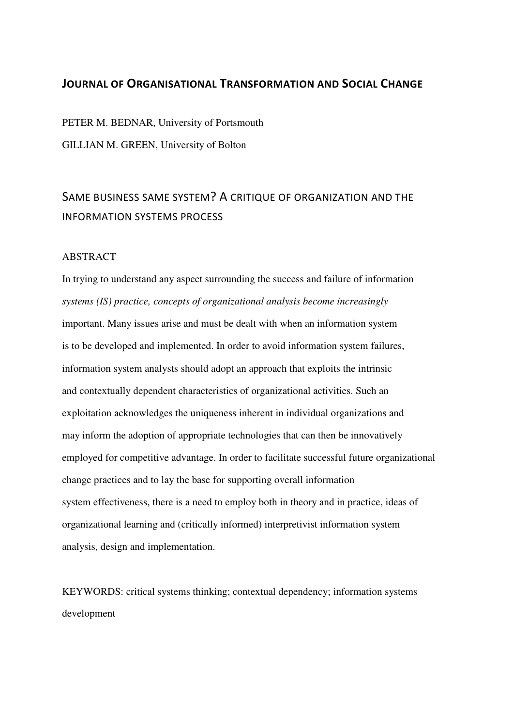# JOURNAL OF ORGANISATIONAL TRANSFORMATION AND SOCIAL CHANGE

PETER M. BEDNAR, University of Portsmouth GILLIAN M. GREEN, University of Bolton

# SAME BUSINESS SAME SYSTEM? A CRITIQUE OF ORGANIZATION AND THE INFORMATION SYSTEMS PROCESS

#### ABSTRACT

In trying to understand any aspect surrounding the success and failure of information *systems (IS) practice, concepts of organizational analysis become increasingly*  important. Many issues arise and must be dealt with when an information system is to be developed and implemented. In order to avoid information system failures, information system analysts should adopt an approach that exploits the intrinsic and contextually dependent characteristics of organizational activities. Such an exploitation acknowledges the uniqueness inherent in individual organizations and may inform the adoption of appropriate technologies that can then be innovatively employed for competitive advantage. In order to facilitate successful future organizational change practices and to lay the base for supporting overall information system effectiveness, there is a need to employ both in theory and in practice, ideas of organizational learning and (critically informed) interpretivist information system analysis, design and implementation.

KEYWORDS: critical systems thinking; contextual dependency; information systems development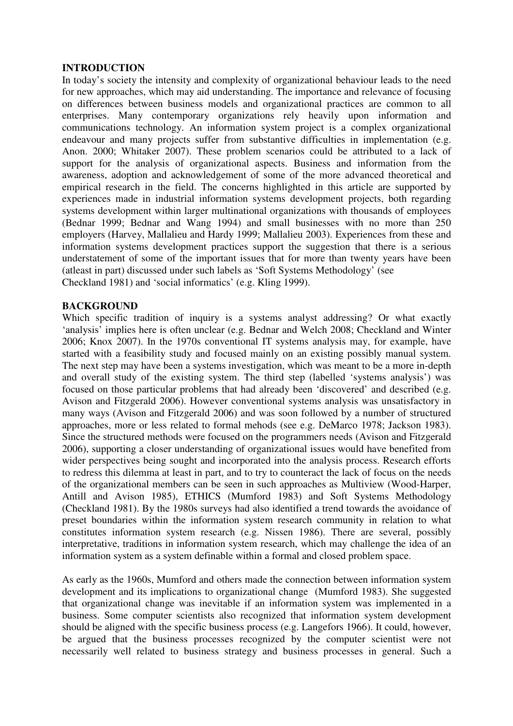#### **INTRODUCTION**

In today's society the intensity and complexity of organizational behaviour leads to the need for new approaches, which may aid understanding. The importance and relevance of focusing on differences between business models and organizational practices are common to all enterprises. Many contemporary organizations rely heavily upon information and communications technology. An information system project is a complex organizational endeavour and many projects suffer from substantive difficulties in implementation (e.g. Anon. 2000; Whitaker 2007). These problem scenarios could be attributed to a lack of support for the analysis of organizational aspects. Business and information from the awareness, adoption and acknowledgement of some of the more advanced theoretical and empirical research in the field. The concerns highlighted in this article are supported by experiences made in industrial information systems development projects, both regarding systems development within larger multinational organizations with thousands of employees (Bednar 1999; Bednar and Wang 1994) and small businesses with no more than 250 employers (Harvey, Mallalieu and Hardy 1999; Mallalieu 2003). Experiences from these and information systems development practices support the suggestion that there is a serious understatement of some of the important issues that for more than twenty years have been (atleast in part) discussed under such labels as 'Soft Systems Methodology' (see Checkland 1981) and 'social informatics' (e.g. Kling 1999).

#### **BACKGROUND**

Which specific tradition of inquiry is a systems analyst addressing? Or what exactly 'analysis' implies here is often unclear (e.g. Bednar and Welch 2008; Checkland and Winter 2006; Knox 2007). In the 1970s conventional IT systems analysis may, for example, have started with a feasibility study and focused mainly on an existing possibly manual system. The next step may have been a systems investigation, which was meant to be a more in-depth and overall study of the existing system. The third step (labelled 'systems analysis') was focused on those particular problems that had already been 'discovered' and described (e.g. Avison and Fitzgerald 2006). However conventional systems analysis was unsatisfactory in many ways (Avison and Fitzgerald 2006) and was soon followed by a number of structured approaches, more or less related to formal mehods (see e.g. DeMarco 1978; Jackson 1983). Since the structured methods were focused on the programmers needs (Avison and Fitzgerald 2006), supporting a closer understanding of organizational issues would have benefited from wider perspectives being sought and incorporated into the analysis process. Research efforts to redress this dilemma at least in part, and to try to counteract the lack of focus on the needs of the organizational members can be seen in such approaches as Multiview (Wood-Harper, Antill and Avison 1985), ETHICS (Mumford 1983) and Soft Systems Methodology (Checkland 1981). By the 1980s surveys had also identified a trend towards the avoidance of preset boundaries within the information system research community in relation to what constitutes information system research (e.g. Nissen 1986). There are several, possibly interpretative, traditions in information system research, which may challenge the idea of an information system as a system definable within a formal and closed problem space.

As early as the 1960s, Mumford and others made the connection between information system development and its implications to organizational change (Mumford 1983). She suggested that organizational change was inevitable if an information system was implemented in a business. Some computer scientists also recognized that information system development should be aligned with the specific business process (e.g. Langefors 1966). It could, however, be argued that the business processes recognized by the computer scientist were not necessarily well related to business strategy and business processes in general. Such a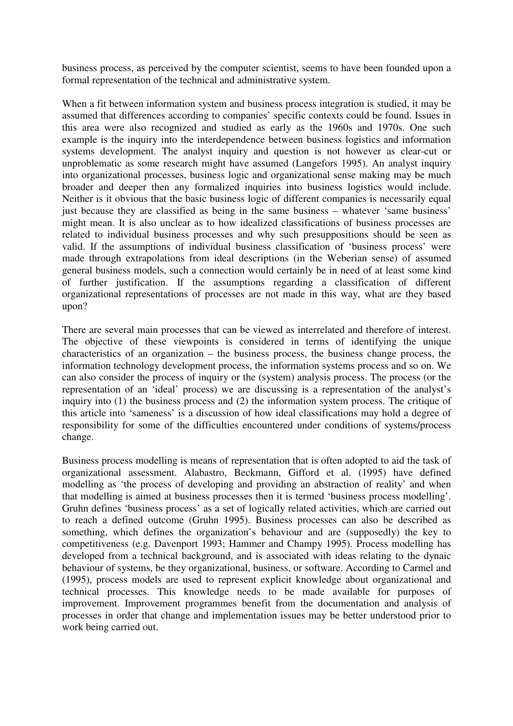business process, as perceived by the computer scientist, seems to have been founded upon a formal representation of the technical and administrative system.

When a fit between information system and business process integration is studied, it may be assumed that differences according to companies' specific contexts could be found. Issues in this area were also recognized and studied as early as the 1960s and 1970s. One such example is the inquiry into the interdependence between business logistics and information systems development. The analyst inquiry and question is not however as clear-cut or unproblematic as some research might have assumed (Langefors 1995). An analyst inquiry into organizational processes, business logic and organizational sense making may be much broader and deeper then any formalized inquiries into business logistics would include. Neither is it obvious that the basic business logic of different companies is necessarily equal just because they are classified as being in the same business – whatever 'same business' might mean. It is also unclear as to how idealized classifications of business processes are related to individual business processes and why such presuppositions should be seen as valid. If the assumptions of individual business classification of 'business process' were made through extrapolations from ideal descriptions (in the Weberian sense) of assumed general business models, such a connection would certainly be in need of at least some kind of further justification. If the assumptions regarding a classification of different organizational representations of processes are not made in this way, what are they based upon?

There are several main processes that can be viewed as interrelated and therefore of interest. The objective of these viewpoints is considered in terms of identifying the unique characteristics of an organization – the business process, the business change process, the information technology development process, the information systems process and so on. We can also consider the process of inquiry or the (system) analysis process. The process (or the representation of an 'ideal' process) we are discussing is a representation of the analyst's inquiry into (1) the business process and (2) the information system process. The critique of this article into 'sameness' is a discussion of how ideal classifications may hold a degree of responsibility for some of the difficulties encountered under conditions of systems/process change.

Business process modelling is means of representation that is often adopted to aid the task of organizational assessment. Alabastro, Beckmann, Gifford et al. (1995) have defined modelling as 'the process of developing and providing an abstraction of reality' and when that modelling is aimed at business processes then it is termed 'business process modelling'. Gruhn defines 'business process' as a set of logically related activities, which are carried out to reach a defined outcome (Gruhn 1995). Business processes can also be described as something, which defines the organization's behaviour and are (supposedly) the key to competitiveness (e.g. Davenport 1993; Hammer and Champy 1995). Process modelling has developed from a technical background, and is associated with ideas relating to the dynaic behaviour of systems, be they organizational, business, or software. According to Carmel and (1995), process models are used to represent explicit knowledge about organizational and technical processes. This knowledge needs to be made available for purposes of improvement. Improvement programmes benefit from the documentation and analysis of processes in order that change and implementation issues may be better understood prior to work being carried out.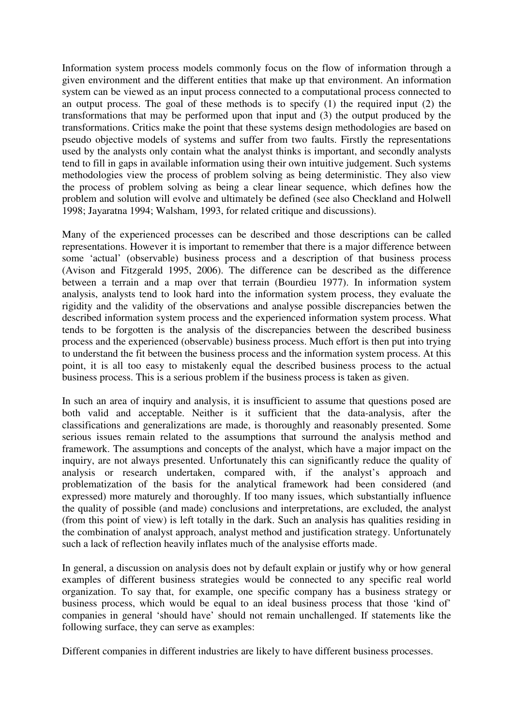Information system process models commonly focus on the flow of information through a given environment and the different entities that make up that environment. An information system can be viewed as an input process connected to a computational process connected to an output process. The goal of these methods is to specify (1) the required input (2) the transformations that may be performed upon that input and (3) the output produced by the transformations. Critics make the point that these systems design methodologies are based on pseudo objective models of systems and suffer from two faults. Firstly the representations used by the analysts only contain what the analyst thinks is important, and secondly analysts tend to fill in gaps in available information using their own intuitive judgement. Such systems methodologies view the process of problem solving as being deterministic. They also view the process of problem solving as being a clear linear sequence, which defines how the problem and solution will evolve and ultimately be defined (see also Checkland and Holwell 1998; Jayaratna 1994; Walsham, 1993, for related critique and discussions).

Many of the experienced processes can be described and those descriptions can be called representations. However it is important to remember that there is a major difference between some 'actual' (observable) business process and a description of that business process (Avison and Fitzgerald 1995, 2006). The difference can be described as the difference between a terrain and a map over that terrain (Bourdieu 1977). In information system analysis, analysts tend to look hard into the information system process, they evaluate the rigidity and the validity of the observations and analyse possible discrepancies betwen the described information system process and the experienced information system process. What tends to be forgotten is the analysis of the discrepancies between the described business process and the experienced (observable) business process. Much effort is then put into trying to understand the fit between the business process and the information system process. At this point, it is all too easy to mistakenly equal the described business process to the actual business process. This is a serious problem if the business process is taken as given.

In such an area of inquiry and analysis, it is insufficient to assume that questions posed are both valid and acceptable. Neither is it sufficient that the data-analysis, after the classifications and generalizations are made, is thoroughly and reasonably presented. Some serious issues remain related to the assumptions that surround the analysis method and framework. The assumptions and concepts of the analyst, which have a major impact on the inquiry, are not always presented. Unfortunately this can significantly reduce the quality of analysis or research undertaken, compared with, if the analyst's approach and problematization of the basis for the analytical framework had been considered (and expressed) more maturely and thoroughly. If too many issues, which substantially influence the quality of possible (and made) conclusions and interpretations, are excluded, the analyst (from this point of view) is left totally in the dark. Such an analysis has qualities residing in the combination of analyst approach, analyst method and justification strategy. Unfortunately such a lack of reflection heavily inflates much of the analysise efforts made.

In general, a discussion on analysis does not by default explain or justify why or how general examples of different business strategies would be connected to any specific real world organization. To say that, for example, one specific company has a business strategy or business process, which would be equal to an ideal business process that those 'kind of' companies in general 'should have' should not remain unchallenged. If statements like the following surface, they can serve as examples:

Different companies in different industries are likely to have different business processes.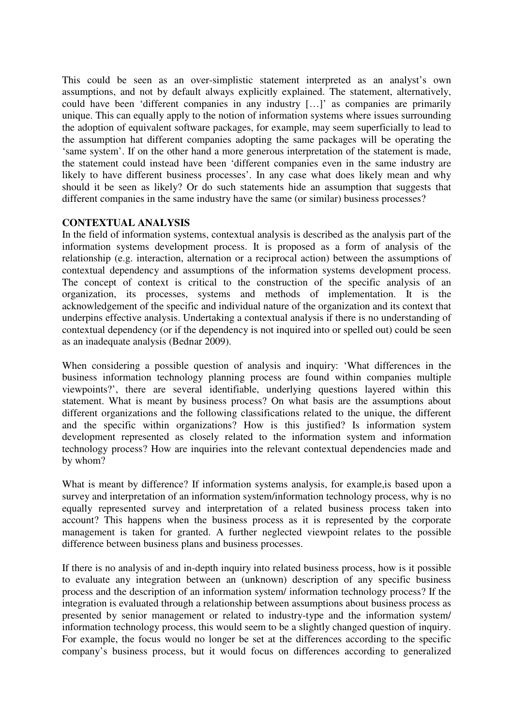This could be seen as an over-simplistic statement interpreted as an analyst's own assumptions, and not by default always explicitly explained. The statement, alternatively, could have been 'different companies in any industry […]' as companies are primarily unique. This can equally apply to the notion of information systems where issues surrounding the adoption of equivalent software packages, for example, may seem superficially to lead to the assumption hat different companies adopting the same packages will be operating the 'same system'. If on the other hand a more generous interpretation of the statement is made, the statement could instead have been 'different companies even in the same industry are likely to have different business processes'. In any case what does likely mean and why should it be seen as likely? Or do such statements hide an assumption that suggests that different companies in the same industry have the same (or similar) business processes?

## **CONTEXTUAL ANALYSIS**

In the field of information systems, contextual analysis is described as the analysis part of the information systems development process. It is proposed as a form of analysis of the relationship (e.g. interaction, alternation or a reciprocal action) between the assumptions of contextual dependency and assumptions of the information systems development process. The concept of context is critical to the construction of the specific analysis of an organization, its processes, systems and methods of implementation. It is the acknowledgement of the specific and individual nature of the organization and its context that underpins effective analysis. Undertaking a contextual analysis if there is no understanding of contextual dependency (or if the dependency is not inquired into or spelled out) could be seen as an inadequate analysis (Bednar 2009).

When considering a possible question of analysis and inquiry: 'What differences in the business information technology planning process are found within companies multiple viewpoints?', there are several identifiable, underlying questions layered within this statement. What is meant by business process? On what basis are the assumptions about different organizations and the following classifications related to the unique, the different and the specific within organizations? How is this justified? Is information system development represented as closely related to the information system and information technology process? How are inquiries into the relevant contextual dependencies made and by whom?

What is meant by difference? If information systems analysis, for example,is based upon a survey and interpretation of an information system/information technology process, why is no equally represented survey and interpretation of a related business process taken into account? This happens when the business process as it is represented by the corporate management is taken for granted. A further neglected viewpoint relates to the possible difference between business plans and business processes.

If there is no analysis of and in-depth inquiry into related business process, how is it possible to evaluate any integration between an (unknown) description of any specific business process and the description of an information system/ information technology process? If the integration is evaluated through a relationship between assumptions about business process as presented by senior management or related to industry-type and the information system/ information technology process, this would seem to be a slightly changed question of inquiry. For example, the focus would no longer be set at the differences according to the specific company's business process, but it would focus on differences according to generalized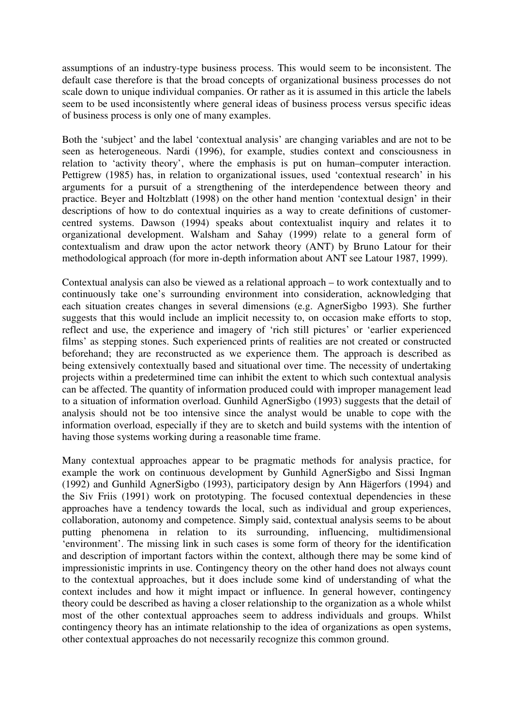assumptions of an industry-type business process. This would seem to be inconsistent. The default case therefore is that the broad concepts of organizational business processes do not scale down to unique individual companies. Or rather as it is assumed in this article the labels seem to be used inconsistently where general ideas of business process versus specific ideas of business process is only one of many examples.

Both the 'subject' and the label 'contextual analysis' are changing variables and are not to be seen as heterogeneous. Nardi (1996), for example, studies context and consciousness in relation to 'activity theory', where the emphasis is put on human–computer interaction. Pettigrew (1985) has, in relation to organizational issues, used 'contextual research' in his arguments for a pursuit of a strengthening of the interdependence between theory and practice. Beyer and Holtzblatt (1998) on the other hand mention 'contextual design' in their descriptions of how to do contextual inquiries as a way to create definitions of customercentred systems. Dawson (1994) speaks about contextualist inquiry and relates it to organizational development. Walsham and Sahay (1999) relate to a general form of contextualism and draw upon the actor network theory (ANT) by Bruno Latour for their methodological approach (for more in-depth information about ANT see Latour 1987, 1999).

Contextual analysis can also be viewed as a relational approach – to work contextually and to continuously take one's surrounding environment into consideration, acknowledging that each situation creates changes in several dimensions (e.g. AgnerSigbo 1993). She further suggests that this would include an implicit necessity to, on occasion make efforts to stop, reflect and use, the experience and imagery of 'rich still pictures' or 'earlier experienced films' as stepping stones. Such experienced prints of realities are not created or constructed beforehand; they are reconstructed as we experience them. The approach is described as being extensively contextually based and situational over time. The necessity of undertaking projects within a predetermined time can inhibit the extent to which such contextual analysis can be affected. The quantity of information produced could with improper management lead to a situation of information overload. Gunhild AgnerSigbo (1993) suggests that the detail of analysis should not be too intensive since the analyst would be unable to cope with the information overload, especially if they are to sketch and build systems with the intention of having those systems working during a reasonable time frame.

Many contextual approaches appear to be pragmatic methods for analysis practice, for example the work on continuous development by Gunhild AgnerSigbo and Sissi Ingman (1992) and Gunhild AgnerSigbo (1993), participatory design by Ann Hägerfors (1994) and the Siv Friis (1991) work on prototyping. The focused contextual dependencies in these approaches have a tendency towards the local, such as individual and group experiences, collaboration, autonomy and competence. Simply said, contextual analysis seems to be about putting phenomena in relation to its surrounding, influencing, multidimensional 'environment'. The missing link in such cases is some form of theory for the identification and description of important factors within the context, although there may be some kind of impressionistic imprints in use. Contingency theory on the other hand does not always count to the contextual approaches, but it does include some kind of understanding of what the context includes and how it might impact or influence. In general however, contingency theory could be described as having a closer relationship to the organization as a whole whilst most of the other contextual approaches seem to address individuals and groups. Whilst contingency theory has an intimate relationship to the idea of organizations as open systems, other contextual approaches do not necessarily recognize this common ground.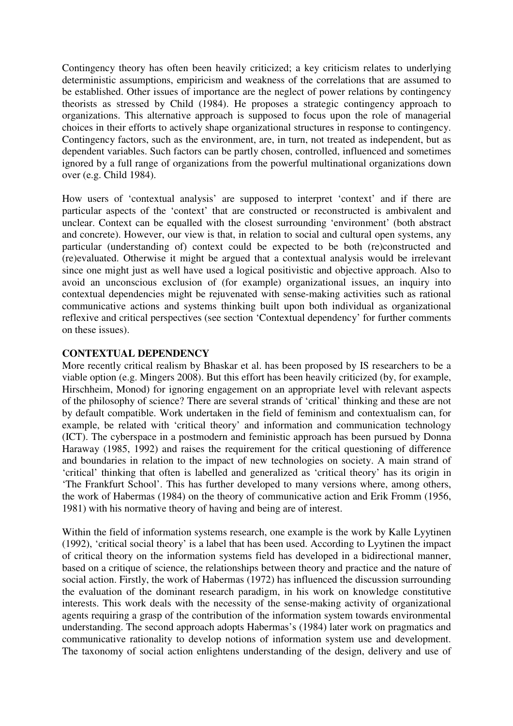Contingency theory has often been heavily criticized; a key criticism relates to underlying deterministic assumptions, empiricism and weakness of the correlations that are assumed to be established. Other issues of importance are the neglect of power relations by contingency theorists as stressed by Child (1984). He proposes a strategic contingency approach to organizations. This alternative approach is supposed to focus upon the role of managerial choices in their efforts to actively shape organizational structures in response to contingency. Contingency factors, such as the environment, are, in turn, not treated as independent, but as dependent variables. Such factors can be partly chosen, controlled, influenced and sometimes ignored by a full range of organizations from the powerful multinational organizations down over (e.g. Child 1984).

How users of 'contextual analysis' are supposed to interpret 'context' and if there are particular aspects of the 'context' that are constructed or reconstructed is ambivalent and unclear. Context can be equalled with the closest surrounding 'environment' (both abstract and concrete). However, our view is that, in relation to social and cultural open systems, any particular (understanding of) context could be expected to be both (re)constructed and (re)evaluated. Otherwise it might be argued that a contextual analysis would be irrelevant since one might just as well have used a logical positivistic and objective approach. Also to avoid an unconscious exclusion of (for example) organizational issues, an inquiry into contextual dependencies might be rejuvenated with sense-making activities such as rational communicative actions and systems thinking built upon both individual as organizational reflexive and critical perspectives (see section 'Contextual dependency' for further comments on these issues).

## **CONTEXTUAL DEPENDENCY**

More recently critical realism by Bhaskar et al. has been proposed by IS researchers to be a viable option (e.g. Mingers 2008). But this effort has been heavily criticized (by, for example, Hirschheim, Monod) for ignoring engagement on an appropriate level with relevant aspects of the philosophy of science? There are several strands of 'critical' thinking and these are not by default compatible. Work undertaken in the field of feminism and contextualism can, for example, be related with 'critical theory' and information and communication technology (ICT). The cyberspace in a postmodern and feministic approach has been pursued by Donna Haraway (1985, 1992) and raises the requirement for the critical questioning of difference and boundaries in relation to the impact of new technologies on society. A main strand of 'critical' thinking that often is labelled and generalized as 'critical theory' has its origin in 'The Frankfurt School'. This has further developed to many versions where, among others, the work of Habermas (1984) on the theory of communicative action and Erik Fromm (1956, 1981) with his normative theory of having and being are of interest.

Within the field of information systems research, one example is the work by Kalle Lyytinen (1992), 'critical social theory' is a label that has been used. According to Lyytinen the impact of critical theory on the information systems field has developed in a bidirectional manner, based on a critique of science, the relationships between theory and practice and the nature of social action. Firstly, the work of Habermas (1972) has influenced the discussion surrounding the evaluation of the dominant research paradigm, in his work on knowledge constitutive interests. This work deals with the necessity of the sense-making activity of organizational agents requiring a grasp of the contribution of the information system towards environmental understanding. The second approach adopts Habermas's (1984) later work on pragmatics and communicative rationality to develop notions of information system use and development. The taxonomy of social action enlightens understanding of the design, delivery and use of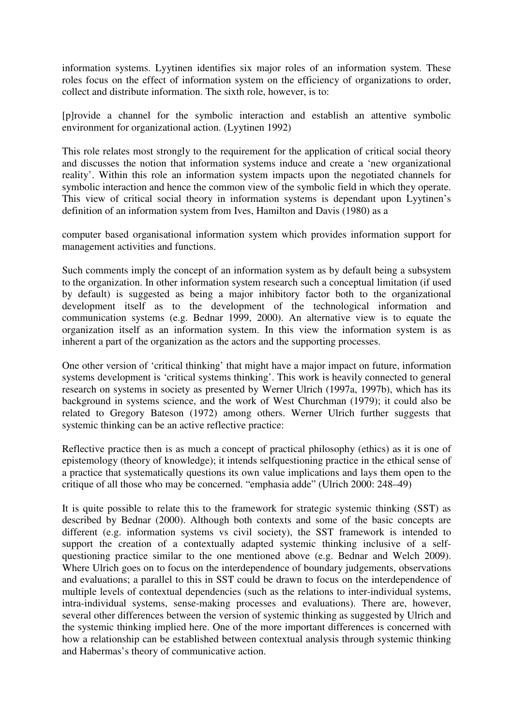information systems. Lyytinen identifies six major roles of an information system. These roles focus on the effect of information system on the efficiency of organizations to order, collect and distribute information. The sixth role, however, is to:

[p]rovide a channel for the symbolic interaction and establish an attentive symbolic environment for organizational action. (Lyytinen 1992)

This role relates most strongly to the requirement for the application of critical social theory and discusses the notion that information systems induce and create a 'new organizational reality'. Within this role an information system impacts upon the negotiated channels for symbolic interaction and hence the common view of the symbolic field in which they operate. This view of critical social theory in information systems is dependant upon Lyytinen's definition of an information system from Ives, Hamilton and Davis (1980) as a

computer based organisational information system which provides information support for management activities and functions.

Such comments imply the concept of an information system as by default being a subsystem to the organization. In other information system research such a conceptual limitation (if used by default) is suggested as being a major inhibitory factor both to the organizational development itself as to the development of the technological information and communication systems (e.g. Bednar 1999, 2000). An alternative view is to equate the organization itself as an information system. In this view the information system is as inherent a part of the organization as the actors and the supporting processes.

One other version of 'critical thinking' that might have a major impact on future, information systems development is 'critical systems thinking'. This work is heavily connected to general research on systems in society as presented by Werner Ulrich (1997a, 1997b), which has its background in systems science, and the work of West Churchman (1979); it could also be related to Gregory Bateson (1972) among others. Werner Ulrich further suggests that systemic thinking can be an active reflective practice:

Reflective practice then is as much a concept of practical philosophy (ethics) as it is one of epistemology (theory of knowledge); it intends selfquestioning practice in the ethical sense of a practice that systematically questions its own value implications and lays them open to the critique of all those who may be concerned. "emphasia adde" (Ulrich 2000: 248–49)

It is quite possible to relate this to the framework for strategic systemic thinking (SST) as described by Bednar (2000). Although both contexts and some of the basic concepts are different (e.g. information systems vs civil society), the SST framework is intended to support the creation of a contextually adapted systemic thinking inclusive of a selfquestioning practice similar to the one mentioned above (e.g. Bednar and Welch 2009). Where Ulrich goes on to focus on the interdependence of boundary judgements, observations and evaluations; a parallel to this in SST could be drawn to focus on the interdependence of multiple levels of contextual dependencies (such as the relations to inter-individual systems, intra-individual systems, sense-making processes and evaluations). There are, however, several other differences between the version of systemic thinking as suggested by Ulrich and the systemic thinking implied here. One of the more important differences is concerned with how a relationship can be established between contextual analysis through systemic thinking and Habermas's theory of communicative action.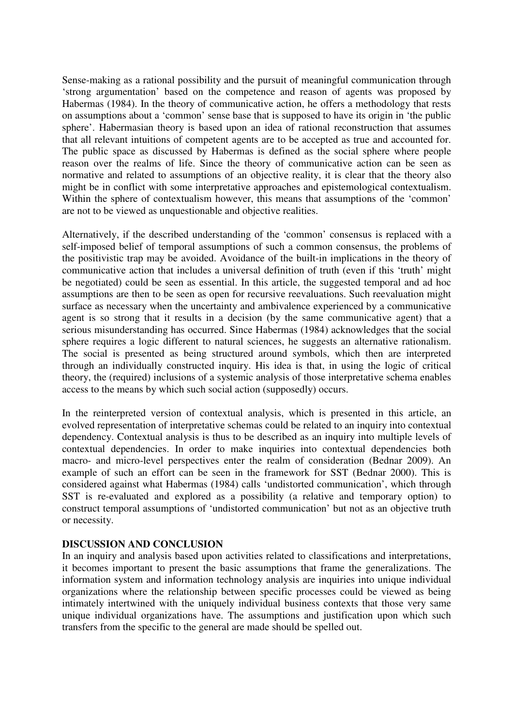Sense-making as a rational possibility and the pursuit of meaningful communication through 'strong argumentation' based on the competence and reason of agents was proposed by Habermas (1984). In the theory of communicative action, he offers a methodology that rests on assumptions about a 'common' sense base that is supposed to have its origin in 'the public sphere'. Habermasian theory is based upon an idea of rational reconstruction that assumes that all relevant intuitions of competent agents are to be accepted as true and accounted for. The public space as discussed by Habermas is defined as the social sphere where people reason over the realms of life. Since the theory of communicative action can be seen as normative and related to assumptions of an objective reality, it is clear that the theory also might be in conflict with some interpretative approaches and epistemological contextualism. Within the sphere of contextualism however, this means that assumptions of the 'common' are not to be viewed as unquestionable and objective realities.

Alternatively, if the described understanding of the 'common' consensus is replaced with a self-imposed belief of temporal assumptions of such a common consensus, the problems of the positivistic trap may be avoided. Avoidance of the built-in implications in the theory of communicative action that includes a universal definition of truth (even if this 'truth' might be negotiated) could be seen as essential. In this article, the suggested temporal and ad hoc assumptions are then to be seen as open for recursive reevaluations. Such reevaluation might surface as necessary when the uncertainty and ambivalence experienced by a communicative agent is so strong that it results in a decision (by the same communicative agent) that a serious misunderstanding has occurred. Since Habermas (1984) acknowledges that the social sphere requires a logic different to natural sciences, he suggests an alternative rationalism. The social is presented as being structured around symbols, which then are interpreted through an individually constructed inquiry. His idea is that, in using the logic of critical theory, the (required) inclusions of a systemic analysis of those interpretative schema enables access to the means by which such social action (supposedly) occurs.

In the reinterpreted version of contextual analysis, which is presented in this article, an evolved representation of interpretative schemas could be related to an inquiry into contextual dependency. Contextual analysis is thus to be described as an inquiry into multiple levels of contextual dependencies. In order to make inquiries into contextual dependencies both macro- and micro-level perspectives enter the realm of consideration (Bednar 2009). An example of such an effort can be seen in the framework for SST (Bednar 2000). This is considered against what Habermas (1984) calls 'undistorted communication', which through SST is re-evaluated and explored as a possibility (a relative and temporary option) to construct temporal assumptions of 'undistorted communication' but not as an objective truth or necessity.

#### **DISCUSSION AND CONCLUSION**

In an inquiry and analysis based upon activities related to classifications and interpretations, it becomes important to present the basic assumptions that frame the generalizations. The information system and information technology analysis are inquiries into unique individual organizations where the relationship between specific processes could be viewed as being intimately intertwined with the uniquely individual business contexts that those very same unique individual organizations have. The assumptions and justification upon which such transfers from the specific to the general are made should be spelled out.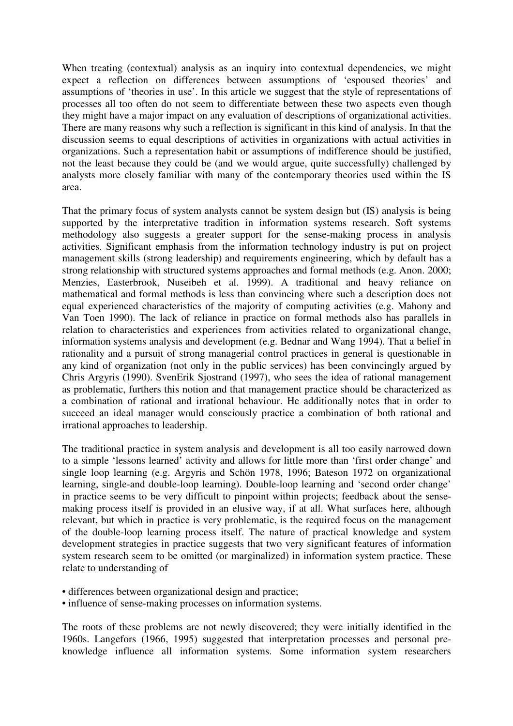When treating (contextual) analysis as an inquiry into contextual dependencies, we might expect a reflection on differences between assumptions of 'espoused theories' and assumptions of 'theories in use'. In this article we suggest that the style of representations of processes all too often do not seem to differentiate between these two aspects even though they might have a major impact on any evaluation of descriptions of organizational activities. There are many reasons why such a reflection is significant in this kind of analysis. In that the discussion seems to equal descriptions of activities in organizations with actual activities in organizations. Such a representation habit or assumptions of indifference should be justified, not the least because they could be (and we would argue, quite successfully) challenged by analysts more closely familiar with many of the contemporary theories used within the IS area.

That the primary focus of system analysts cannot be system design but (IS) analysis is being supported by the interpretative tradition in information systems research. Soft systems methodology also suggests a greater support for the sense-making process in analysis activities. Significant emphasis from the information technology industry is put on project management skills (strong leadership) and requirements engineering, which by default has a strong relationship with structured systems approaches and formal methods (e.g. Anon. 2000; Menzies, Easterbrook, Nuseibeh et al. 1999). A traditional and heavy reliance on mathematical and formal methods is less than convincing where such a description does not equal experienced characteristics of the majority of computing activities (e.g. Mahony and Van Toen 1990). The lack of reliance in practice on formal methods also has parallels in relation to characteristics and experiences from activities related to organizational change, information systems analysis and development (e.g. Bednar and Wang 1994). That a belief in rationality and a pursuit of strong managerial control practices in general is questionable in any kind of organization (not only in the public services) has been convincingly argued by Chris Argyris (1990). SvenErik Sjostrand (1997), who sees the idea of rational management as problematic, furthers this notion and that management practice should be characterized as a combination of rational and irrational behaviour. He additionally notes that in order to succeed an ideal manager would consciously practice a combination of both rational and irrational approaches to leadership.

The traditional practice in system analysis and development is all too easily narrowed down to a simple 'lessons learned' activity and allows for little more than 'first order change' and single loop learning (e.g. Argyris and Schön 1978, 1996; Bateson 1972 on organizational learning, single-and double-loop learning). Double-loop learning and 'second order change' in practice seems to be very difficult to pinpoint within projects; feedback about the sensemaking process itself is provided in an elusive way, if at all. What surfaces here, although relevant, but which in practice is very problematic, is the required focus on the management of the double-loop learning process itself. The nature of practical knowledge and system development strategies in practice suggests that two very significant features of information system research seem to be omitted (or marginalized) in information system practice. These relate to understanding of

- differences between organizational design and practice;
- influence of sense-making processes on information systems.

The roots of these problems are not newly discovered; they were initially identified in the 1960s. Langefors (1966, 1995) suggested that interpretation processes and personal preknowledge influence all information systems. Some information system researchers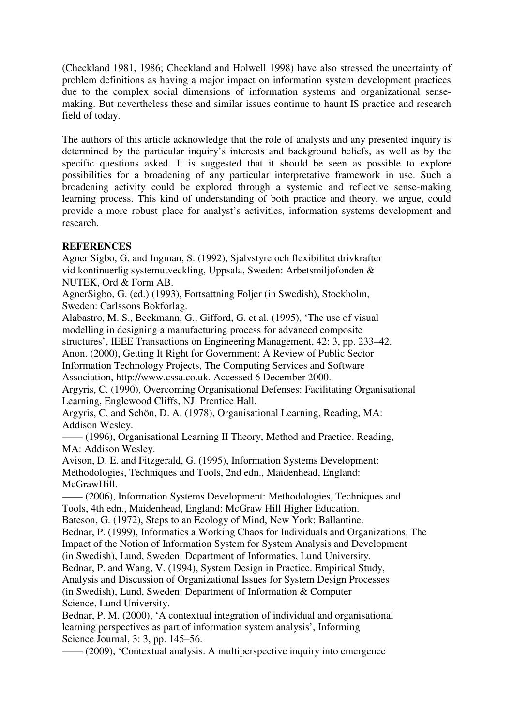(Checkland 1981, 1986; Checkland and Holwell 1998) have also stressed the uncertainty of problem definitions as having a major impact on information system development practices due to the complex social dimensions of information systems and organizational sensemaking. But nevertheless these and similar issues continue to haunt IS practice and research field of today.

The authors of this article acknowledge that the role of analysts and any presented inquiry is determined by the particular inquiry's interests and background beliefs, as well as by the specific questions asked. It is suggested that it should be seen as possible to explore possibilities for a broadening of any particular interpretative framework in use. Such a broadening activity could be explored through a systemic and reflective sense-making learning process. This kind of understanding of both practice and theory, we argue, could provide a more robust place for analyst's activities, information systems development and research.

# **REFERENCES**

Agner Sigbo, G. and Ingman, S. (1992), Sjalvstyre och flexibilitet drivkrafter vid kontinuerlig systemutveckling, Uppsala, Sweden: Arbetsmiljofonden & NUTEK, Ord & Form AB.

AgnerSigbo, G. (ed.) (1993), Fortsattning Foljer (in Swedish), Stockholm, Sweden: Carlssons Bokforlag.

Alabastro, M. S., Beckmann, G., Gifford, G. et al. (1995), 'The use of visual modelling in designing a manufacturing process for advanced composite

structures', IEEE Transactions on Engineering Management, 42: 3, pp. 233–42.

Anon. (2000), Getting It Right for Government: A Review of Public Sector

Information Technology Projects, The Computing Services and Software

Association, http://www.cssa.co.uk. Accessed 6 December 2000.

Argyris, C. (1990), Overcoming Organisational Defenses: Facilitating Organisational Learning, Englewood Cliffs, NJ: Prentice Hall.

Argyris, C. and Schön, D. A. (1978), Organisational Learning, Reading, MA: Addison Wesley.

—— (1996), Organisational Learning II Theory, Method and Practice. Reading, MA: Addison Wesley.

Avison, D. E. and Fitzgerald, G. (1995), Information Systems Development: Methodologies, Techniques and Tools, 2nd edn., Maidenhead, England: McGrawHill.

—— (2006), Information Systems Development: Methodologies, Techniques and Tools, 4th edn., Maidenhead, England: McGraw Hill Higher Education.

Bateson, G. (1972), Steps to an Ecology of Mind, New York: Ballantine.

Bednar, P. (1999), Informatics a Working Chaos for Individuals and Organizations. The

Impact of the Notion of Information System for System Analysis and Development

(in Swedish), Lund, Sweden: Department of Informatics, Lund University.

Bednar, P. and Wang, V. (1994), System Design in Practice. Empirical Study,

Analysis and Discussion of Organizational Issues for System Design Processes (in Swedish), Lund, Sweden: Department of Information & Computer Science, Lund University.

Bednar, P. M. (2000), 'A contextual integration of individual and organisational learning perspectives as part of information system analysis', Informing Science Journal, 3: 3, pp. 145–56.

—— (2009), 'Contextual analysis. A multiperspective inquiry into emergence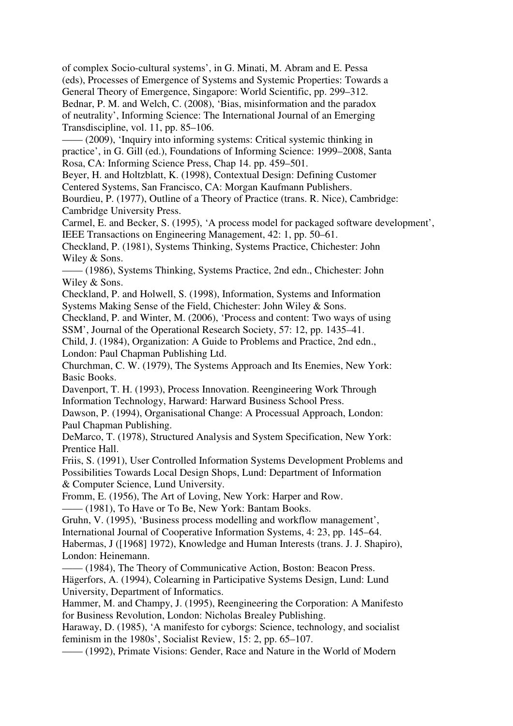of complex Socio-cultural systems', in G. Minati, M. Abram and E. Pessa (eds), Processes of Emergence of Systems and Systemic Properties: Towards a General Theory of Emergence, Singapore: World Scientific, pp. 299–312. Bednar, P. M. and Welch, C. (2008), 'Bias, misinformation and the paradox of neutrality', Informing Science: The International Journal of an Emerging Transdiscipline, vol. 11, pp. 85–106.

—— (2009), 'Inquiry into informing systems: Critical systemic thinking in practice', in G. Gill (ed.), Foundations of Informing Science: 1999–2008, Santa Rosa, CA: Informing Science Press, Chap 14. pp. 459–501.

Beyer, H. and Holtzblatt, K. (1998), Contextual Design: Defining Customer

Centered Systems, San Francisco, CA: Morgan Kaufmann Publishers.

Bourdieu, P. (1977), Outline of a Theory of Practice (trans. R. Nice), Cambridge: Cambridge University Press.

Carmel, E. and Becker, S. (1995), 'A process model for packaged software development', IEEE Transactions on Engineering Management, 42: 1, pp. 50–61.

Checkland, P. (1981), Systems Thinking, Systems Practice, Chichester: John Wiley & Sons.

—— (1986), Systems Thinking, Systems Practice, 2nd edn., Chichester: John Wiley & Sons.

Checkland, P. and Holwell, S. (1998), Information, Systems and Information Systems Making Sense of the Field, Chichester: John Wiley & Sons.

Checkland, P. and Winter, M. (2006), 'Process and content: Two ways of using SSM', Journal of the Operational Research Society, 57: 12, pp. 1435–41.

Child, J. (1984), Organization: A Guide to Problems and Practice, 2nd edn., London: Paul Chapman Publishing Ltd.

Churchman, C. W. (1979), The Systems Approach and Its Enemies, New York: Basic Books.

Davenport, T. H. (1993), Process Innovation. Reengineering Work Through Information Technology, Harward: Harward Business School Press.

Dawson, P. (1994), Organisational Change: A Processual Approach, London: Paul Chapman Publishing.

DeMarco, T. (1978), Structured Analysis and System Specification, New York: Prentice Hall.

Friis, S. (1991), User Controlled Information Systems Development Problems and Possibilities Towards Local Design Shops, Lund: Department of Information & Computer Science, Lund University.

Fromm, E. (1956), The Art of Loving, New York: Harper and Row.

—— (1981), To Have or To Be, New York: Bantam Books.

Gruhn, V. (1995), 'Business process modelling and workflow management',

International Journal of Cooperative Information Systems, 4: 23, pp. 145–64.

Habermas, J ([1968] 1972), Knowledge and Human Interests (trans. J. J. Shapiro), London: Heinemann.

—— (1984), The Theory of Communicative Action, Boston: Beacon Press. Hägerfors, A. (1994), Colearning in Participative Systems Design, Lund: Lund University, Department of Informatics.

Hammer, M. and Champy, J. (1995), Reengineering the Corporation: A Manifesto for Business Revolution, London: Nicholas Brealey Publishing.

Haraway, D. (1985), 'A manifesto for cyborgs: Science, technology, and socialist feminism in the 1980s', Socialist Review, 15: 2, pp. 65–107.

—— (1992), Primate Visions: Gender, Race and Nature in the World of Modern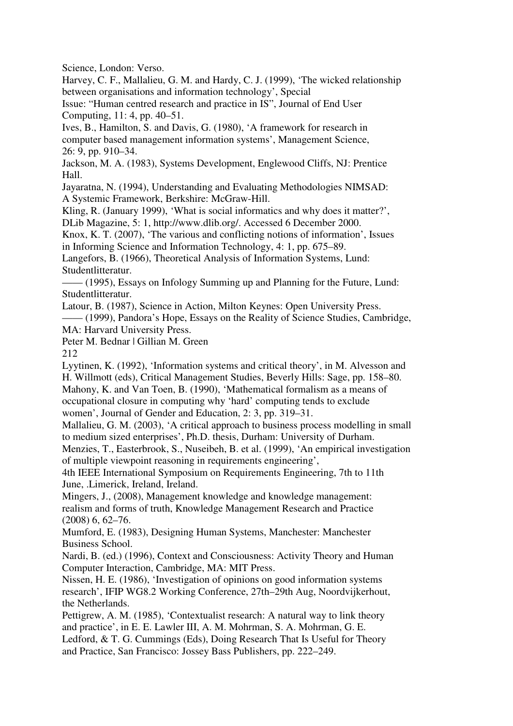Science, London: Verso.

Harvey, C. F., Mallalieu, G. M. and Hardy, C. J. (1999), 'The wicked relationship between organisations and information technology', Special

Issue: "Human centred research and practice in IS", Journal of End User Computing, 11: 4, pp. 40–51.

Ives, B., Hamilton, S. and Davis, G. (1980), 'A framework for research in computer based management information systems', Management Science, 26: 9, pp. 910–34.

Jackson, M. A. (1983), Systems Development, Englewood Cliffs, NJ: Prentice Hall.

Jayaratna, N. (1994), Understanding and Evaluating Methodologies NIMSAD: A Systemic Framework, Berkshire: McGraw-Hill.

Kling, R. (January 1999), 'What is social informatics and why does it matter?', DLib Magazine, 5: 1, http://www.dlib.org/. Accessed 6 December 2000.

Knox, K. T. (2007), 'The various and conflicting notions of information', Issues in Informing Science and Information Technology, 4: 1, pp. 675–89.

Langefors, B. (1966), Theoretical Analysis of Information Systems, Lund: Studentlitteratur.

—— (1995), Essays on Infology Summing up and Planning for the Future, Lund: Studentlitteratur.

Latour, B. (1987), Science in Action, Milton Keynes: Open University Press. —— (1999), Pandora's Hope, Essays on the Reality of Science Studies, Cambridge, MA: Harvard University Press.

Peter M. Bednar | Gillian M. Green

212

Lyytinen, K. (1992), 'Information systems and critical theory', in M. Alvesson and H. Willmott (eds), Critical Management Studies, Beverly Hills: Sage, pp. 158–80. Mahony, K. and Van Toen, B. (1990), 'Mathematical formalism as a means of occupational closure in computing why 'hard' computing tends to exclude women', Journal of Gender and Education, 2: 3, pp. 319–31.

Mallalieu, G. M. (2003), 'A critical approach to business process modelling in small to medium sized enterprises', Ph.D. thesis, Durham: University of Durham.

Menzies, T., Easterbrook, S., Nuseibeh, B. et al. (1999), 'An empirical investigation of multiple viewpoint reasoning in requirements engineering',

4th IEEE International Symposium on Requirements Engineering, 7th to 11th June, .Limerick, Ireland, Ireland.

Mingers, J., (2008), Management knowledge and knowledge management: realism and forms of truth, Knowledge Management Research and Practice (2008) 6, 62–76.

Mumford, E. (1983), Designing Human Systems, Manchester: Manchester Business School.

Nardi, B. (ed.) (1996), Context and Consciousness: Activity Theory and Human Computer Interaction, Cambridge, MA: MIT Press.

Nissen, H. E. (1986), 'Investigation of opinions on good information systems research', IFIP WG8.2 Working Conference, 27th–29th Aug, Noordvijkerhout, the Netherlands.

Pettigrew, A. M. (1985), 'Contextualist research: A natural way to link theory and practice', in E. E. Lawler III, A. M. Mohrman, S. A. Mohrman, G. E.

Ledford, & T. G. Cummings (Eds), Doing Research That Is Useful for Theory and Practice, San Francisco: Jossey Bass Publishers, pp. 222–249.